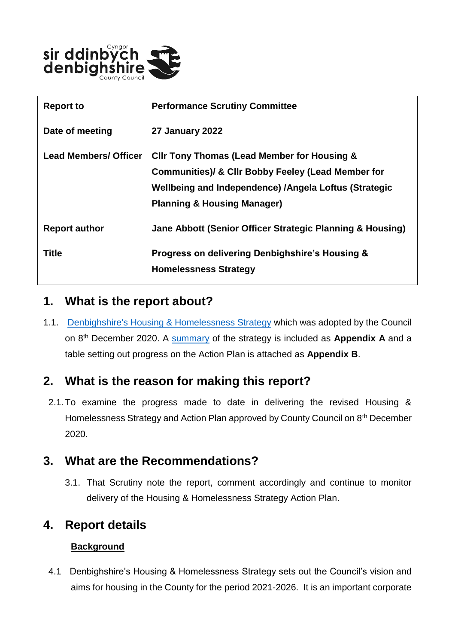

| <b>Report to</b>             | <b>Performance Scrutiny Committee</b>                                                                                                                                                                           |
|------------------------------|-----------------------------------------------------------------------------------------------------------------------------------------------------------------------------------------------------------------|
| Date of meeting              | <b>27 January 2022</b>                                                                                                                                                                                          |
| <b>Lead Members/ Officer</b> | <b>CIIr Tony Thomas (Lead Member for Housing &amp;</b><br>Communities)/ & CIIr Bobby Feeley (Lead Member for<br>Wellbeing and Independence) /Angela Loftus (Strategic<br><b>Planning &amp; Housing Manager)</b> |
| <b>Report author</b>         | Jane Abbott (Senior Officer Strategic Planning & Housing)                                                                                                                                                       |
| Title                        | Progress on delivering Denbighshire's Housing &<br><b>Homelessness Strategy</b>                                                                                                                                 |

### **1. What is the report about?**

1.1. [Denbighshire's Housing & Homelessness Strategy](https://www.denbighshire.gov.uk/en/your-council/strategies-plans-and-policies/strategies/housing-strategy.aspx) which was adopted by the Council on 8th December 2020. A [summary](https://www.denbighshire.gov.uk/en/documents/your-council/strategies-plans-and-policies/strategies/housing/housing-strategy-summary-2021-2026.pdf) of the strategy is included as **Appendix A** and a table setting out progress on the Action Plan is attached as **Appendix B**.

### **2. What is the reason for making this report?**

2.1.To examine the progress made to date in delivering the revised Housing & Homelessness Strategy and Action Plan approved by County Council on 8th December 2020.

### **3. What are the Recommendations?**

3.1. That Scrutiny note the report, comment accordingly and continue to monitor delivery of the Housing & Homelessness Strategy Action Plan.

### **4. Report details**

#### **Background**

 4.1 Denbighshire's Housing & Homelessness Strategy sets out the Council's vision and aims for housing in the County for the period 2021-2026. It is an important corporate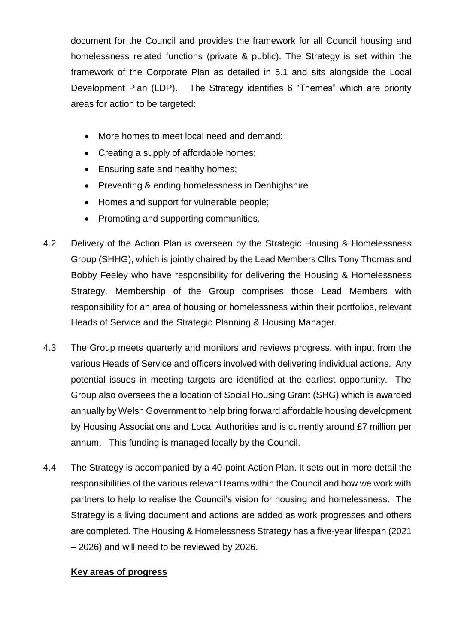document for the Council and provides the framework for all Council housing and homelessness related functions (private & public). The Strategy is set within the framework of the Corporate Plan as detailed in 5.1 and sits alongside the Local Development Plan (LDP)**.** The Strategy identifies 6 "Themes" which are priority areas for action to be targeted:

- More homes to meet local need and demand;
- Creating a supply of affordable homes;
- Ensuring safe and healthy homes;
- Preventing & ending homelessness in Denbighshire
- Homes and support for vulnerable people;
- Promoting and supporting communities.
- 4.2 Delivery of the Action Plan is overseen by the Strategic Housing & Homelessness Group (SHHG), which is jointly chaired by the Lead Members Cllrs Tony Thomas and Bobby Feeley who have responsibility for delivering the Housing & Homelessness Strategy. Membership of the Group comprises those Lead Members with responsibility for an area of housing or homelessness within their portfolios, relevant Heads of Service and the Strategic Planning & Housing Manager.
- 4.3 The Group meets quarterly and monitors and reviews progress, with input from the various Heads of Service and officers involved with delivering individual actions. Any potential issues in meeting targets are identified at the earliest opportunity. The Group also oversees the allocation of Social Housing Grant (SHG) which is awarded annually by Welsh Government to help bring forward affordable housing development by Housing Associations and Local Authorities and is currently around £7 million per annum. This funding is managed locally by the Council.
- 4.4 The Strategy is accompanied by a 40-point Action Plan. It sets out in more detail the responsibilities of the various relevant teams within the Council and how we work with partners to help to realise the Council's vision for housing and homelessness. The Strategy is a living document and actions are added as work progresses and others are completed. The Housing & Homelessness Strategy has a five-year lifespan (2021 – 2026) and will need to be reviewed by 2026.

#### **Key areas of progress**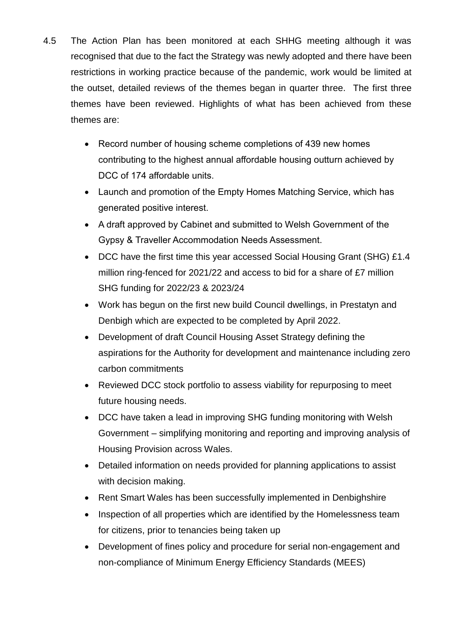- 4.5 The Action Plan has been monitored at each SHHG meeting although it was recognised that due to the fact the Strategy was newly adopted and there have been restrictions in working practice because of the pandemic, work would be limited at the outset, detailed reviews of the themes began in quarter three. The first three themes have been reviewed. Highlights of what has been achieved from these themes are:
	- Record number of housing scheme completions of 439 new homes contributing to the highest annual affordable housing outturn achieved by DCC of 174 affordable units.
	- Launch and promotion of the Empty Homes Matching Service, which has generated positive interest.
	- A draft approved by Cabinet and submitted to Welsh Government of the Gypsy & Traveller Accommodation Needs Assessment.
	- DCC have the first time this year accessed Social Housing Grant (SHG) £1.4 million ring-fenced for 2021/22 and access to bid for a share of £7 million SHG funding for 2022/23 & 2023/24
	- Work has begun on the first new build Council dwellings, in Prestatyn and Denbigh which are expected to be completed by April 2022.
	- Development of draft Council Housing Asset Strategy defining the aspirations for the Authority for development and maintenance including zero carbon commitments
	- Reviewed DCC stock portfolio to assess viability for repurposing to meet future housing needs.
	- DCC have taken a lead in improving SHG funding monitoring with Welsh Government – simplifying monitoring and reporting and improving analysis of Housing Provision across Wales.
	- Detailed information on needs provided for planning applications to assist with decision making.
	- Rent Smart Wales has been successfully implemented in Denbighshire
	- Inspection of all properties which are identified by the Homelessness team for citizens, prior to tenancies being taken up
	- Development of fines policy and procedure for serial non-engagement and non-compliance of Minimum Energy Efficiency Standards (MEES)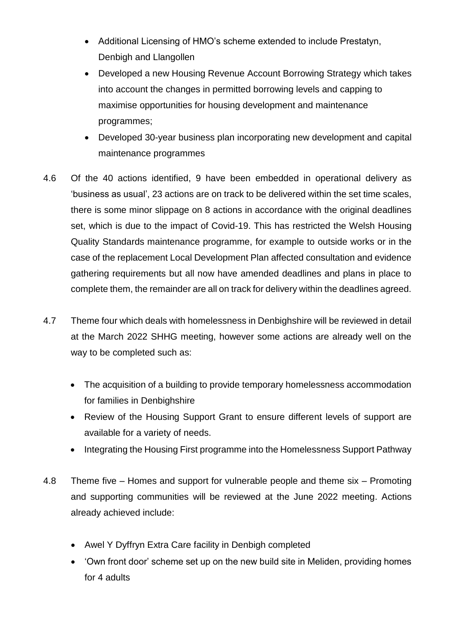- Additional Licensing of HMO's scheme extended to include Prestatyn, Denbigh and Llangollen
- Developed a new Housing Revenue Account Borrowing Strategy which takes into account the changes in permitted borrowing levels and capping to maximise opportunities for housing development and maintenance programmes;
- Developed 30-year business plan incorporating new development and capital maintenance programmes
- 4.6 Of the 40 actions identified, 9 have been embedded in operational delivery as 'business as usual', 23 actions are on track to be delivered within the set time scales, there is some minor slippage on 8 actions in accordance with the original deadlines set, which is due to the impact of Covid-19. This has restricted the Welsh Housing Quality Standards maintenance programme, for example to outside works or in the case of the replacement Local Development Plan affected consultation and evidence gathering requirements but all now have amended deadlines and plans in place to complete them, the remainder are all on track for delivery within the deadlines agreed.
- 4.7 Theme four which deals with homelessness in Denbighshire will be reviewed in detail at the March 2022 SHHG meeting, however some actions are already well on the way to be completed such as:
	- The acquisition of a building to provide temporary homelessness accommodation for families in Denbighshire
	- Review of the Housing Support Grant to ensure different levels of support are available for a variety of needs.
	- Integrating the Housing First programme into the Homelessness Support Pathway
- 4.8 Theme five Homes and support for vulnerable people and theme six Promoting and supporting communities will be reviewed at the June 2022 meeting. Actions already achieved include:
	- Awel Y Dyffryn Extra Care facility in Denbigh completed
	- 'Own front door' scheme set up on the new build site in Meliden, providing homes for 4 adults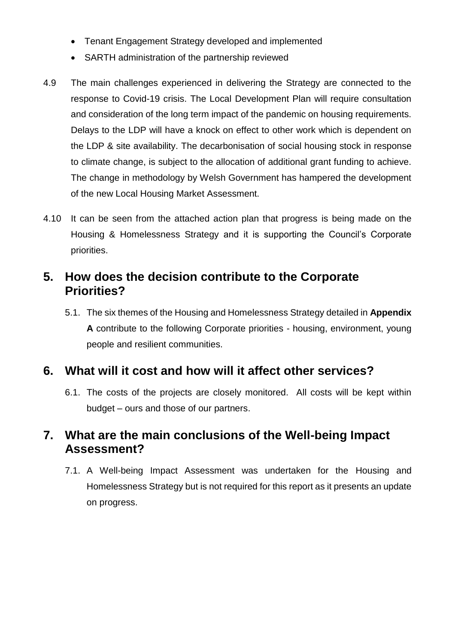- Tenant Engagement Strategy developed and implemented
- SARTH administration of the partnership reviewed
- 4.9 The main challenges experienced in delivering the Strategy are connected to the response to Covid-19 crisis. The Local Development Plan will require consultation and consideration of the long term impact of the pandemic on housing requirements. Delays to the LDP will have a knock on effect to other work which is dependent on the LDP & site availability. The decarbonisation of social housing stock in response to climate change, is subject to the allocation of additional grant funding to achieve. The change in methodology by Welsh Government has hampered the development of the new Local Housing Market Assessment.
- 4.10 It can be seen from the attached action plan that progress is being made on the Housing & Homelessness Strategy and it is supporting the Council's Corporate priorities.

### **5. How does the decision contribute to the Corporate Priorities?**

5.1. The six themes of the Housing and Homelessness Strategy detailed in **Appendix A** contribute to the following Corporate priorities - housing, environment, young people and resilient communities.

### **6. What will it cost and how will it affect other services?**

6.1. The costs of the projects are closely monitored. All costs will be kept within budget – ours and those of our partners.

### **7. What are the main conclusions of the Well-being Impact Assessment?**

7.1. A Well-being Impact Assessment was undertaken for the Housing and Homelessness Strategy but is not required for this report as it presents an update on progress.